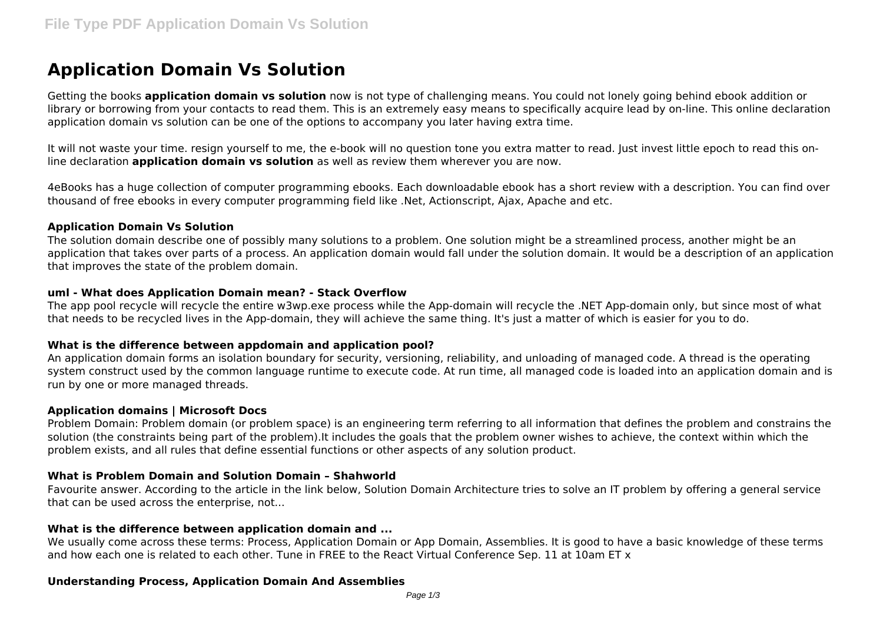# **Application Domain Vs Solution**

Getting the books **application domain vs solution** now is not type of challenging means. You could not lonely going behind ebook addition or library or borrowing from your contacts to read them. This is an extremely easy means to specifically acquire lead by on-line. This online declaration application domain vs solution can be one of the options to accompany you later having extra time.

It will not waste your time. resign yourself to me, the e-book will no question tone you extra matter to read. Just invest little epoch to read this online declaration **application domain vs solution** as well as review them wherever you are now.

4eBooks has a huge collection of computer programming ebooks. Each downloadable ebook has a short review with a description. You can find over thousand of free ebooks in every computer programming field like .Net, Actionscript, Ajax, Apache and etc.

#### **Application Domain Vs Solution**

The solution domain describe one of possibly many solutions to a problem. One solution might be a streamlined process, another might be an application that takes over parts of a process. An application domain would fall under the solution domain. It would be a description of an application that improves the state of the problem domain.

# **uml - What does Application Domain mean? - Stack Overflow**

The app pool recycle will recycle the entire w3wp.exe process while the App-domain will recycle the .NET App-domain only, but since most of what that needs to be recycled lives in the App-domain, they will achieve the same thing. It's just a matter of which is easier for you to do.

# **What is the difference between appdomain and application pool?**

An application domain forms an isolation boundary for security, versioning, reliability, and unloading of managed code. A thread is the operating system construct used by the common language runtime to execute code. At run time, all managed code is loaded into an application domain and is run by one or more managed threads.

#### **Application domains | Microsoft Docs**

Problem Domain: Problem domain (or problem space) is an engineering term referring to all information that defines the problem and constrains the solution (the constraints being part of the problem).It includes the goals that the problem owner wishes to achieve, the context within which the problem exists, and all rules that define essential functions or other aspects of any solution product.

# **What is Problem Domain and Solution Domain – Shahworld**

Favourite answer. According to the article in the link below, Solution Domain Architecture tries to solve an IT problem by offering a general service that can be used across the enterprise, not...

# **What is the difference between application domain and ...**

We usually come across these terms: Process, Application Domain or App Domain, Assemblies. It is good to have a basic knowledge of these terms and how each one is related to each other. Tune in FREE to the React Virtual Conference Sep. 11 at 10am ET x

#### **Understanding Process, Application Domain And Assemblies**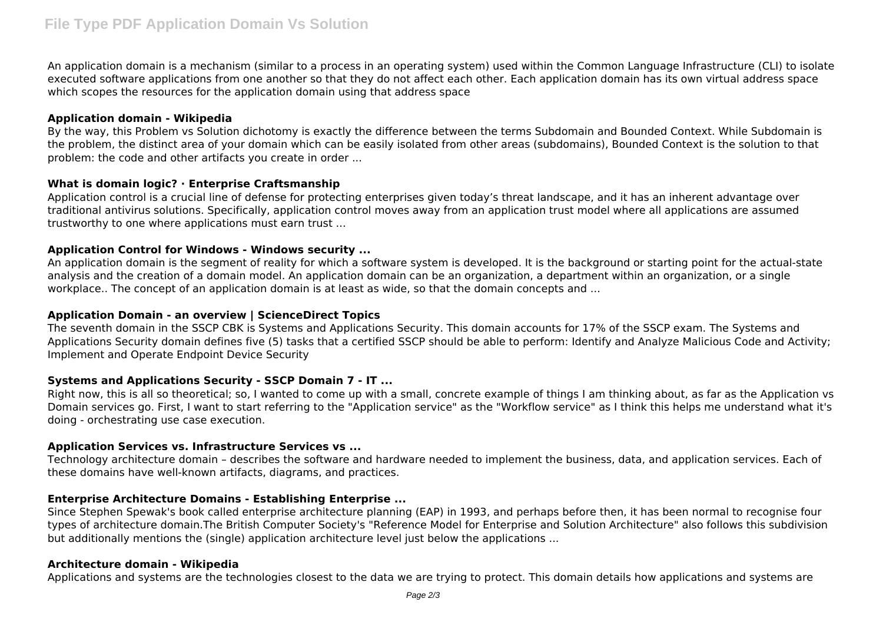An application domain is a mechanism (similar to a process in an operating system) used within the Common Language Infrastructure (CLI) to isolate executed software applications from one another so that they do not affect each other. Each application domain has its own virtual address space which scopes the resources for the application domain using that address space

# **Application domain - Wikipedia**

By the way, this Problem vs Solution dichotomy is exactly the difference between the terms Subdomain and Bounded Context. While Subdomain is the problem, the distinct area of your domain which can be easily isolated from other areas (subdomains), Bounded Context is the solution to that problem: the code and other artifacts you create in order ...

# **What is domain logic? · Enterprise Craftsmanship**

Application control is a crucial line of defense for protecting enterprises given today's threat landscape, and it has an inherent advantage over traditional antivirus solutions. Specifically, application control moves away from an application trust model where all applications are assumed trustworthy to one where applications must earn trust ...

# **Application Control for Windows - Windows security ...**

An application domain is the segment of reality for which a software system is developed. It is the background or starting point for the actual-state analysis and the creation of a domain model. An application domain can be an organization, a department within an organization, or a single workplace.. The concept of an application domain is at least as wide, so that the domain concepts and ...

# **Application Domain - an overview | ScienceDirect Topics**

The seventh domain in the SSCP CBK is Systems and Applications Security. This domain accounts for 17% of the SSCP exam. The Systems and Applications Security domain defines five (5) tasks that a certified SSCP should be able to perform: Identify and Analyze Malicious Code and Activity; Implement and Operate Endpoint Device Security

# **Systems and Applications Security - SSCP Domain 7 - IT ...**

Right now, this is all so theoretical; so, I wanted to come up with a small, concrete example of things I am thinking about, as far as the Application vs Domain services go. First, I want to start referring to the "Application service" as the "Workflow service" as I think this helps me understand what it's doing - orchestrating use case execution.

# **Application Services vs. Infrastructure Services vs ...**

Technology architecture domain – describes the software and hardware needed to implement the business, data, and application services. Each of these domains have well-known artifacts, diagrams, and practices.

# **Enterprise Architecture Domains - Establishing Enterprise ...**

Since Stephen Spewak's book called enterprise architecture planning (EAP) in 1993, and perhaps before then, it has been normal to recognise four types of architecture domain.The British Computer Society's "Reference Model for Enterprise and Solution Architecture" also follows this subdivision but additionally mentions the (single) application architecture level just below the applications ...

# **Architecture domain - Wikipedia**

Applications and systems are the technologies closest to the data we are trying to protect. This domain details how applications and systems are